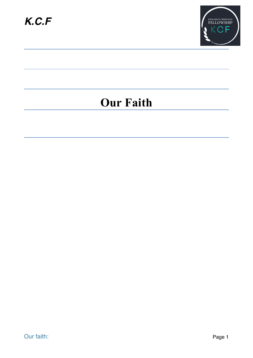

## **Our Faith**

Our faith: Page 1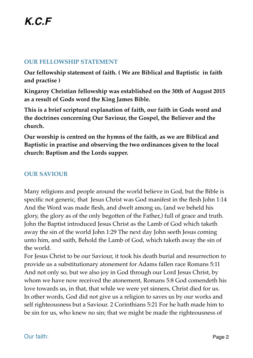### **OUR FELLOWSHIP STATEMENT**

**Our fellowship statement of faith. ( We are Biblical and Baptistic in faith and practise )**

**Kingaroy Christian fellowship was established on the 30th of August 2015 as a result of Gods word the King James Bible.**

**This is a brief scriptural explanation of faith, our faith in Gods word and the doctrines concerning Our Saviour, the Gospel, the Believer and the church.**

**Our worship is centred on the hymns of the faith, as we are Biblical and Baptistic in practise and observing the two ordinances given to the local church: Baptism and the Lords supper.**

## **OUR SAVIOUR**

Many religions and people around the world believe in God, but the Bible is specific not generic, that Jesus Christ was God manifest in the flesh John 1:14 And the Word was made flesh, and dwelt among us, (and we beheld his glory, the glory as of the only begotten of the Father,) full of grace and truth. John the Baptist introduced Jesus Christ as the Lamb of God which taketh away the sin of the world John 1:29 The next day John seeth Jesus coming unto him, and saith, Behold the Lamb of God, which taketh away the sin of the world.

For Jesus Christ to be our Saviour, it took his death burial and resurrection to provide us a substitutionary atonement for Adams fallen race Romans 5:11 And not only so, but we also joy in God through our Lord Jesus Christ, by whom we have now received the atonement, Romans 5:8 God comendeth his love towards us, in that, that while we were yet sinners, Christ died for us. In other words, God did not give us a religion to saves us by our works and self righteousness but a Saviour. 2 Corinthians 5:21 For he hath made him to be sin for us, who knew no sin; that we might be made the righteousness of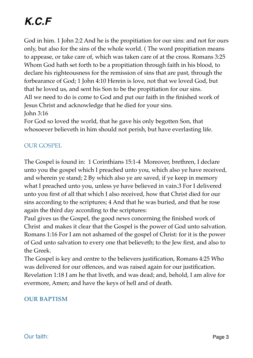# *K.C.F*

God in him. 1 John 2:2 And he is the propitiation for our sins: and not for ours only, but also for the sins of the whole world. ( The word propitiation means to appease, or take care of, which was taken care of at the cross. Romans 3:25 Whom God hath set forth to be a propitiation through faith in his blood, to declare his righteousness for the remission of sins that are past, through the forbearance of God; 1 John 4:10 Herein is love, not that we loved God, but that he loved us, and sent his Son to be the propitiation for our sins. All we need to do is come to God and put our faith in the finished work of Jesus Christ and acknowledge that he died for your sins. John 3:16

For God so loved the world, that he gave his only begotten Son, that whosoever believeth in him should not perish, but have everlasting life.

## OUR GOSPEL

The Gospel is found in: 1 Corinthians 15:1-4 Moreover, brethren, I declare unto you the gospel which I preached unto you, which also ye have received, and wherein ye stand; 2 By which also ye are saved, if ye keep in memory what I preached unto you, unless ye have believed in vain.3 For I delivered unto you first of all that which I also received, how that Christ died for our sins according to the scriptures; 4 And that he was buried, and that he rose again the third day according to the scriptures:

Paul gives us the Gospel, the good news concerning the finished work of Christ and makes it clear that the Gospel is the power of God unto salvation. Romans 1:16 For I am not ashamed of the gospel of Christ: for it is the power of God unto salvation to every one that believeth; to the Jew first, and also to the Greek.

The Gospel is key and centre to the believers justification, Romans 4:25 Who was delivered for our offences, and was raised again for our justification. Revelation 1:18 I am he that liveth, and was dead; and, behold, I am alive for evermore, Amen; and have the keys of hell and of death.

#### **OUR BAPTISM**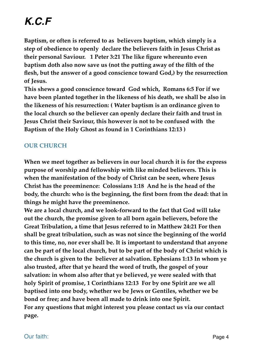# *K.C.F*

**Baptism, or often is referred to as believers baptism, which simply is a step of obedience to openly declare the believers faith in Jesus Christ as their personal Saviour. 1 Peter 3:21 The like figure whereunto even baptism doth also now save us (not the putting away of the filth of the flesh, but the answer of a good conscience toward God,) by the resurrection of Jesus.**

**This shews a good conscience toward God which, Romans 6:5 For if we have been planted together in the likeness of his death, we shall be also in the likeness of his resurrection: ( Water baptism is an ordinance given to the local church so the believer can openly declare their faith and trust in Jesus Christ their Saviour, this however is not to be confused with the Baptism of the Holy Ghost as found in 1 Corinthians 12:13 )**

### **OUR CHURCH**

**When we meet together as believers in our local church it is for the express purpose of worship and fellowship with like minded believers. This is when the manifestation of the body of Christ can be seen, where Jesus Christ has the preeminence: Colossians 1:18 And he is the head of the body, the church: who is the beginning, the first born from the dead: that in things he might have the preeminence.**

**We are a local church, and we look-forward to the fact that God will take out the church, the promise given to all born again believers, before the Great Tribulation, a time that Jesus referred to in Matthew 24:21 For then shall be great tribulation, such as was not since the beginning of the world to this time, no, nor ever shall be. It is important to understand that anyone can be part of the local church, but to be part of the body of Christ which is the church is given to the believer at salvation. Ephesians 1:13 In whom ye also trusted, after that ye heard the word of truth, the gospel of your salvation: in whom also after that ye believed, ye were sealed with that holy Spirit of promise, 1 Corinthians 12:13 For by one Spirit are we all baptised into one body, whether we be Jews or Gentiles, whether we be bond or free; and have been all made to drink into one Spirit. For any questions that might interest you please contact us via our contact page.**